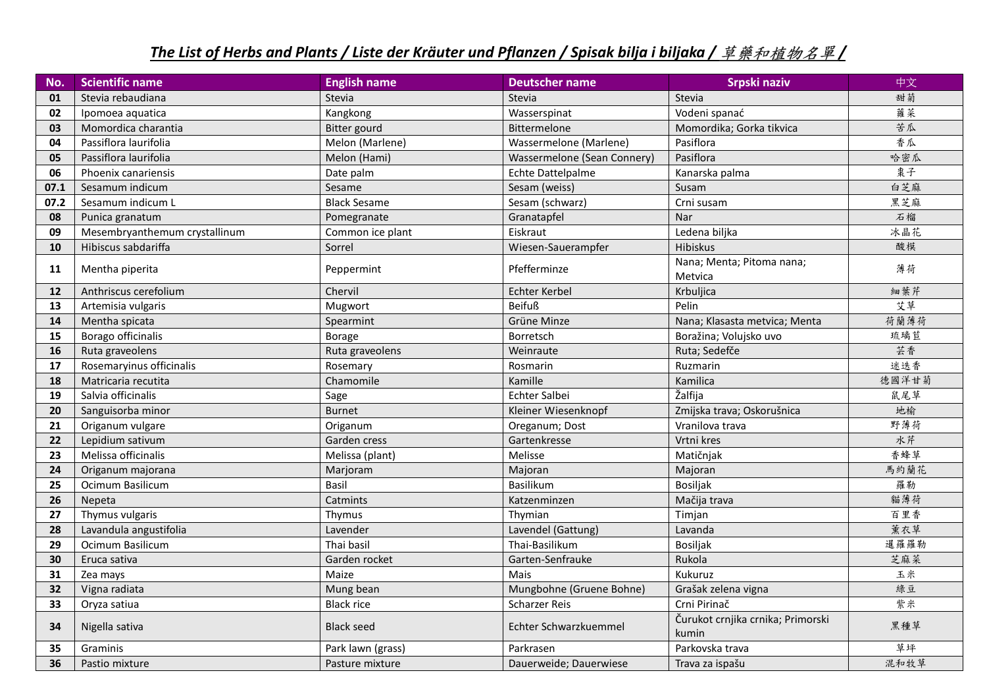## *The List of Herbs and Plants / Liste der Kräuter und Pflanzen / Spisak bilja i biljaka /* 草藥和植物名單 */*

| No.  | <b>Scientific name</b>        | <b>English name</b> | <b>Deutscher name</b>       | Srpski naziv                               | 中文    |
|------|-------------------------------|---------------------|-----------------------------|--------------------------------------------|-------|
| 01   | Stevia rebaudiana             | Stevia              | Stevia                      | Stevia                                     | 甜菊    |
| 02   | Ipomoea aquatica              | Kangkong            | Wasserspinat                | Vodeni spanać                              | 蕹菜    |
| 03   | Momordica charantia           | <b>Bitter gourd</b> | Bittermelone                | Momordika; Gorka tikvica                   | 苦瓜    |
| 04   | Passiflora laurifolia         | Melon (Marlene)     | Wassermelone (Marlene)      | Pasiflora                                  | 香瓜    |
| 05   | Passiflora laurifolia         | Melon (Hami)        | Wassermelone (Sean Connery) | Pasiflora                                  | 哈密瓜   |
| 06   | Phoenix canariensis           | Date palm           | Echte Dattelpalme           | Kanarska palma                             | 棗子    |
| 07.1 | Sesamum indicum               | Sesame              | Sesam (weiss)               | Susam                                      | 白芝麻   |
| 07.2 | Sesamum indicum L             | <b>Black Sesame</b> | Sesam (schwarz)             | Crni susam                                 | 黑芝麻   |
| 08   | Punica granatum               | Pomegranate         | Granatapfel                 | Nar                                        | 石榴    |
| 09   | Mesembryanthemum crystallinum | Common ice plant    | Eiskraut                    | Ledena biljka                              | 冰晶花   |
| 10   | Hibiscus sabdariffa           | Sorrel              | Wiesen-Sauerampfer          | Hibiskus                                   | 酸模    |
| 11   | Mentha piperita               | Peppermint          | Pfefferminze                | Nana; Menta; Pitoma nana;<br>Metvica       | 薄荷    |
| 12   | Anthriscus cerefolium         | Chervil             | Echter Kerbel               | Krbuljica                                  | 細葉芹   |
| 13   | Artemisia vulgaris            | Mugwort             | <b>Beifuß</b>               | Pelin                                      | 艾草    |
| 14   | Mentha spicata                | Spearmint           | Grüne Minze                 | Nana; Klasasta metvica; Menta              | 荷蘭薄荷  |
| 15   | Borago officinalis            | <b>Borage</b>       | Borretsch                   | Boražina; Volujsko uvo                     | 琉璃苣   |
| 16   | Ruta graveolens               | Ruta graveolens     | Weinraute                   | Ruta; Sedefče                              | 芸香    |
| 17   | Rosemaryinus officinalis      | Rosemary            | Rosmarin                    | Ruzmarin                                   | 迷迭香   |
| 18   | Matricaria recutita           | Chamomile           | Kamille                     | Kamilica                                   | 德國洋甘菊 |
| 19   | Salvia officinalis            | Sage                | Echter Salbei               | Žalfija                                    | 鼠尾草   |
| 20   | Sanguisorba minor             | <b>Burnet</b>       | Kleiner Wiesenknopf         | Zmijska trava; Oskorušnica                 | 地榆    |
| 21   | Origanum vulgare              | Origanum            | Oreganum; Dost              | Vranilova trava                            | 野薄荷   |
| 22   | Lepidium sativum              | Garden cress        | Gartenkresse                | Vrtni kres                                 | 水芹    |
| 23   | Melissa officinalis           | Melissa (plant)     | Melisse                     | Matičnjak                                  | 香蜂草   |
| 24   | Origanum majorana             | Marjoram            | Majoran                     | Majoran                                    | 馬約蘭花  |
| 25   | Ocimum Basilicum              | Basil               | Basilikum                   | <b>Bosiljak</b>                            | 羅勒    |
| 26   | Nepeta                        | Catmints            | Katzenminzen                | Mačija trava                               | 貓薄荷   |
| 27   | Thymus vulgaris               | Thymus              | Thymian                     | Timjan                                     | 百里香   |
| 28   | Lavandula angustifolia        | Lavender            | Lavendel (Gattung)          | Lavanda                                    | 薰衣草   |
| 29   | Ocimum Basilicum              | Thai basil          | Thai-Basilikum              | Bosiljak                                   | 暹羅羅勒  |
| 30   | Eruca sativa                  | Garden rocket       | Garten-Senfrauke            | Rukola                                     | 芝麻菜   |
| 31   | Zea mays                      | Maize               | Mais                        | Kukuruz                                    | 玉米    |
| 32   | Vigna radiata                 | Mung bean           | Mungbohne (Gruene Bohne)    | Grašak zelena vigna                        | 綠豆    |
| 33   | Oryza satiua                  | <b>Black rice</b>   | Scharzer Reis               | Crni Pirinač                               | 紫米    |
| 34   | Nigella sativa                | <b>Black seed</b>   | Echter Schwarzkuemmel       | Čurukot crnjika crnika; Primorski<br>kumin | 黑種草   |
| 35   | Graminis                      | Park lawn (grass)   | Parkrasen                   | Parkovska trava                            | 草坪    |
| 36   | Pastio mixture                | Pasture mixture     | Dauerweide; Dauerwiese      | Trava za ispašu                            | 混和牧草  |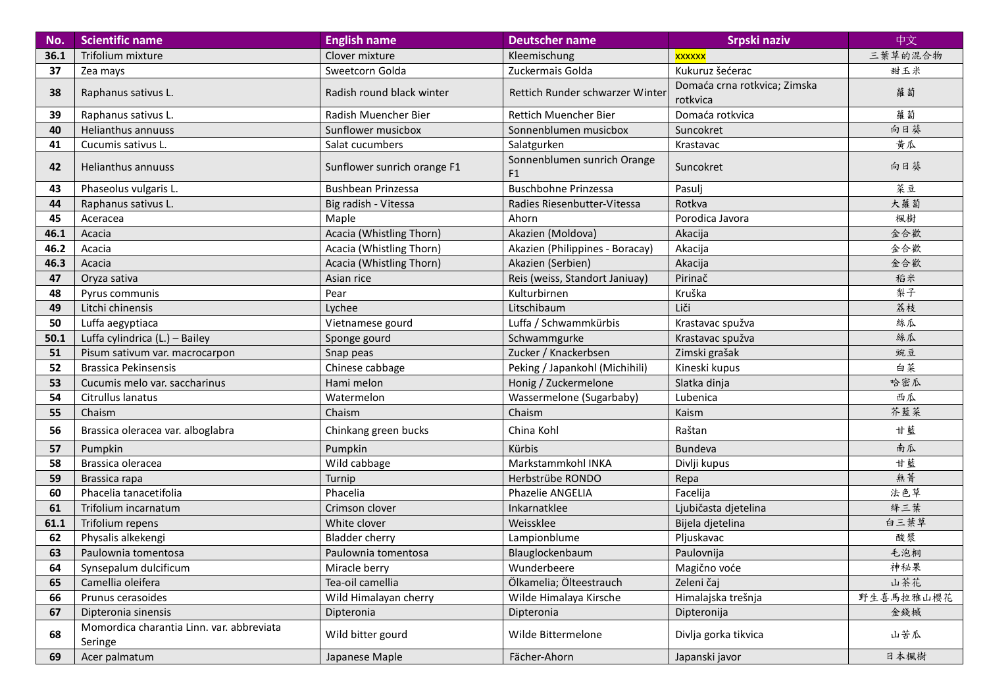| No.  | <b>Scientific name</b>                               | <b>English name</b>         | <b>Deutscher name</b>                         | Srpski naziv                             | 中文        |
|------|------------------------------------------------------|-----------------------------|-----------------------------------------------|------------------------------------------|-----------|
| 36.1 | Trifolium mixture                                    | Clover mixture              | Kleemischung                                  | xxxxxx                                   | 三葉草的混合物   |
| 37   | Zea mays                                             | Sweetcorn Golda             | Zuckermais Golda                              | Kukuruz šećerac                          | 甜玉米       |
| 38   | Raphanus sativus L.                                  | Radish round black winter   | Rettich Runder schwarzer Winter               | Domaća crna rotkvica; Zimska<br>rotkvica | 蘿蔔        |
| 39   | Raphanus sativus L.                                  | Radish Muencher Bier        | Rettich Muencher Bier                         | Domaća rotkvica                          | 蘿蔔        |
| 40   | <b>Helianthus annuuss</b>                            | Sunflower musicbox          | Sonnenblumen musicbox                         | Suncokret                                | 向日葵       |
| 41   | Cucumis sativus L.                                   | Salat cucumbers             | Salatgurken                                   | Krastavac                                | 黄瓜        |
| 42   | <b>Helianthus annuuss</b>                            | Sunflower sunrich orange F1 | Sonnenblumen sunrich Orange<br>F <sub>1</sub> | Suncokret                                | 向日葵       |
| 43   | Phaseolus vulgaris L.                                | <b>Bushbean Prinzessa</b>   | <b>Buschbohne Prinzessa</b>                   | Pasulj                                   | 菜豆        |
| 44   | Raphanus sativus L.                                  | Big radish - Vitessa        | Radies Riesenbutter-Vitessa                   | Rotkva                                   | 大蘿蔔       |
| 45   | Aceracea                                             | Maple                       | Ahorn                                         | Porodica Javora                          | 楓樹        |
| 46.1 | Acacia                                               | Acacia (Whistling Thorn)    | Akazien (Moldova)                             | Akacija                                  | 金合歡       |
| 46.2 | Acacia                                               | Acacia (Whistling Thorn)    | Akazien (Philippines - Boracay)               | Akacija                                  | 金合歡       |
| 46.3 | Acacia                                               | Acacia (Whistling Thorn)    | Akazien (Serbien)                             | Akacija                                  | 金合歡       |
| 47   | Oryza sativa                                         | Asian rice                  | Reis (weiss, Standort Janiuay)                | Pirinač                                  | 稻米        |
| 48   | Pyrus communis                                       | Pear                        | Kulturbirnen                                  | Kruška                                   | 梨子        |
| 49   | Litchi chinensis                                     | Lychee                      | Litschibaum                                   | Liči                                     | 荔枝        |
| 50   | Luffa aegyptiaca                                     | Vietnamese gourd            | Luffa / Schwammkürbis                         | Krastavac spužva                         | 絲瓜        |
| 50.1 | Luffa cylindrica (L.) - Bailey                       | Sponge gourd                | Schwammgurke                                  | Krastavac spužva                         | 絲瓜        |
| 51   | Pisum sativum var. macrocarpon                       | Snap peas                   | Zucker / Knackerbsen                          | Zimski grašak                            | 豌豆        |
| 52   | <b>Brassica Pekinsensis</b>                          | Chinese cabbage             | Peking / Japankohl (Michihili)                | Kineski kupus                            | 白菜        |
| 53   | Cucumis melo var. saccharinus                        | Hami melon                  | Honig / Zuckermelone                          | Slatka dinja                             | 哈密瓜       |
| 54   | Citrullus lanatus                                    | Watermelon                  | Wassermelone (Sugarbaby)                      | Lubenica                                 | 西瓜        |
| 55   | Chaism                                               | Chaism                      | Chaism                                        | Kaism                                    | 芥藍菜       |
| 56   | Brassica oleracea var. alboglabra                    | Chinkang green bucks        | China Kohl                                    | Raštan                                   | 甘藍        |
| 57   | Pumpkin                                              | Pumpkin                     | Kürbis                                        | <b>Bundeva</b>                           | 南瓜        |
| 58   | Brassica oleracea                                    | Wild cabbage                | Markstammkohl INKA                            | Divlji kupus                             | 甘藍        |
| 59   | Brassica rapa                                        | Turnip                      | Herbstrübe RONDO                              | Repa                                     | 無菁        |
| 60   | Phacelia tanacetifolia                               | Phacelia                    | Phazelie ANGELIA                              | Facelija                                 | 法色草       |
| 61   | Trifolium incarnatum                                 | Crimson clover              | Inkarnatklee                                  | Ljubičasta djetelina                     | 絳三葉       |
| 61.1 | Trifolium repens                                     | White clover                | Weissklee                                     | Bijela djetelina                         | 白三葉草      |
| 62   | Physalis alkekengi                                   | <b>Bladder cherry</b>       | Lampionblume                                  | Pljuskavac                               | 酸漿        |
| 63   | Paulownia tomentosa                                  | Paulownia tomentosa         | Blauglockenbaum                               | Paulovnija                               | 毛泡桐       |
| 64   | Synsepalum dulcificum                                | Miracle berry               | Wunderbeere                                   | Magično voće                             | 神秘果       |
| 65   | Camellia oleifera                                    | Tea-oil camellia            | Ölkamelia; Ölteestrauch                       | Zeleni čaj                               | 山茶花       |
| 66   | Prunus cerasoides                                    | Wild Himalayan cherry       | Wilde Himalaya Kirsche                        | Himalajska trešnja                       | 野生喜馬拉雅山櫻花 |
| 67   | Dipteronia sinensis                                  | Dipteronia                  | Dipteronia                                    | Dipteronija                              | 金錢槭       |
| 68   | Momordica charantia Linn. var. abbreviata<br>Seringe | Wild bitter gourd           | Wilde Bittermelone                            | Divlja gorka tikvica                     | 山苦瓜       |
| 69   | Acer palmatum                                        | Japanese Maple              | Fächer-Ahorn                                  | Japanski javor                           | 日本楓樹      |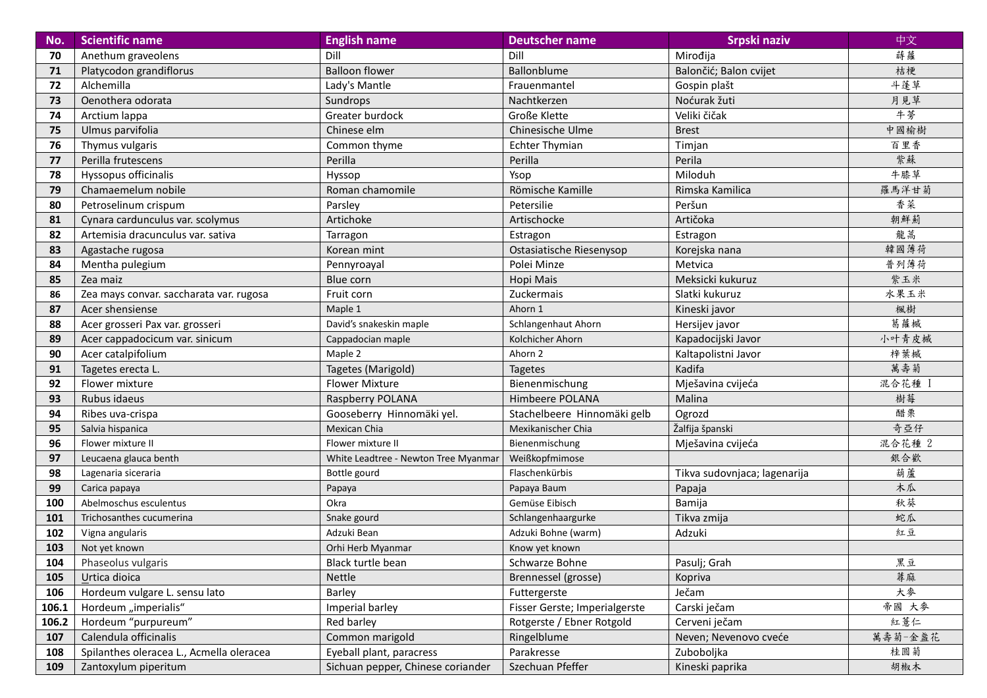| No.   | <b>Scientific name</b>                   | <b>English name</b>                  | <b>Deutscher name</b>         | Srpski naziv                 | 中文      |
|-------|------------------------------------------|--------------------------------------|-------------------------------|------------------------------|---------|
| 70    | Anethum graveolens                       | Dill                                 | Dill                          | Mirođija                     | 蒔蘿      |
| 71    | Platycodon grandiflorus                  | <b>Balloon flower</b>                | Ballonblume                   | Balončić; Balon cvijet       | 桔梗      |
| 72    | Alchemilla                               | Lady's Mantle                        | Frauenmantel                  | Gospin plašt                 | 斗蓬草     |
| 73    | Oenothera odorata                        | Sundrops                             | Nachtkerzen                   | Noćurak žuti                 | 月見草     |
| 74    | Arctium lappa                            | Greater burdock                      | <b>Große Klette</b>           | Veliki čičak                 | 牛蒡      |
| 75    | Ulmus parvifolia                         | Chinese elm                          | Chinesische Ulme              | <b>Brest</b>                 | 中國榆樹    |
| 76    | Thymus vulgaris                          | Common thyme                         | <b>Echter Thymian</b>         | Timjan                       | 百里香     |
| 77    | Perilla frutescens                       | Perilla                              | Perilla                       | Perila                       | 紫蘇      |
| 78    | Hyssopus officinalis                     | Hyssop                               | Ysop                          | Miloduh                      | 牛膝草     |
| 79    | Chamaemelum nobile                       | Roman chamomile                      | Römische Kamille              | Rimska Kamilica              | 羅馬洋甘菊   |
| 80    | Petroselinum crispum                     | Parsley                              | Petersilie                    | Peršun                       | 香菜      |
| 81    | Cynara cardunculus var. scolymus         | Artichoke                            | Artischocke                   | Artičoka                     | 朝鮮薊     |
| 82    | Artemisia dracunculus var. sativa        | Tarragon                             | Estragon                      | Estragon                     | 龍蒿      |
| 83    | Agastache rugosa                         | Korean mint                          | Ostasiatische Riesenysop      | Korejska nana                | 韓國薄荷    |
| 84    | Mentha pulegium                          | Pennyroayal                          | Polei Minze                   | Metvica                      | 普列薄荷    |
| 85    | Zea maiz                                 | Blue corn                            | Hopi Mais                     | Meksicki kukuruz             | 紫玉米     |
| 86    | Zea mays convar. saccharata var. rugosa  | Fruit corn                           | Zuckermais                    | Slatki kukuruz               | 水果玉米    |
| 87    | Acer shensiense                          | Maple 1                              | Ahorn 1                       | Kineski javor                | 楓樹      |
| 88    | Acer grosseri Pax var. grosseri          | David's snakeskin maple              | Schlangenhaut Ahorn           | Hersijev javor               | 葛蘿槭     |
| 89    | Acer cappadocicum var. sinicum           | Cappadocian maple                    | Kolchicher Ahorn              | Kapadocijski Javor           | 小叶青皮槭   |
| 90    | Acer catalpifolium                       | Maple 2                              | Ahorn 2                       | Kaltapolistni Javor          | 梓葉槭     |
| 91    | Tagetes erecta L.                        | Tagetes (Marigold)                   | <b>Tagetes</b>                | Kadifa                       | 萬壽菊     |
| 92    | Flower mixture                           | <b>Flower Mixture</b>                | Bienenmischung                | Mješavina cvijeća            | 混合花種    |
| 93    | Rubus idaeus                             | Raspberry POLANA                     | Himbeere POLANA               | Malina                       | 樹莓      |
| 94    | Ribes uva-crispa                         | Gooseberry Hinnomäki yel.            | Stachelbeere Hinnomäki gelb   | Ogrozd                       | 醋栗      |
| 95    | Salvia hispanica                         | Mexican Chia                         | Mexikanischer Chia            | Žalfija španski              | 奇亞仔     |
| 96    | Flower mixture II                        | Flower mixture II                    | Bienenmischung                | Mješavina cvijeća            | 混合花種 2  |
| 97    | Leucaena glauca benth                    | White Leadtree - Newton Tree Myanmar | Weißkopfmimose                |                              | 銀合歡     |
| 98    | Lagenaria siceraria                      | Bottle gourd                         | Flaschenkürbis                | Tikva sudovnjaca; lagenarija | 葫蘆      |
| 99    | Carica papaya                            | Papaya                               | Papaya Baum                   | Papaja                       | 木瓜      |
| 100   | Abelmoschus esculentus                   | Okra                                 | Gemüse Eibisch                | Bamija                       | 秋葵      |
| 101   | Trichosanthes cucumerina                 | Snake gourd                          | Schlangenhaargurke            | Tikva zmija                  | 蛇瓜      |
| 102   | Vigna angularis                          | Adzuki Bean                          | Adzuki Bohne (warm)           | Adzuki                       | 紅豆      |
| 103   | Not yet known                            | Orhi Herb Myanmar                    | Know yet known                |                              |         |
| 104   | Phaseolus vulgaris                       | Black turtle bean                    | Schwarze Bohne                | Pasulj; Grah                 | 黑豆      |
| 105   | Urtica dioica                            | Nettle                               | Brennessel (grosse)           | Kopriva                      | 蕁麻      |
| 106   | Hordeum vulgare L. sensu lato            | Barley                               | Futtergerste                  | Ječam                        | 大麥      |
| 106.1 | Hordeum "imperialis"                     | Imperial barley                      | Fisser Gerste; Imperialgerste | Carski ječam                 | 帝國 大麥   |
| 106.2 | Hordeum "purpureum"                      | Red barley                           | Rotgerste / Ebner Rotgold     | Cerveni ječam                | 紅薏仁     |
| 107   | Calendula officinalis                    | Common marigold                      | Ringelblume                   | Neven; Nevenovo cveće        | 萬壽菊-金盞花 |
| 108   | Spilanthes oleracea L., Acmella oleracea | Eyeball plant, paracress             | Parakresse                    | Zuboboljka                   | 桂圆菊     |
| 109   | Zantoxylum piperitum                     | Sichuan pepper, Chinese coriander    | Szechuan Pfeffer              | Kineski paprika              | 胡椒木     |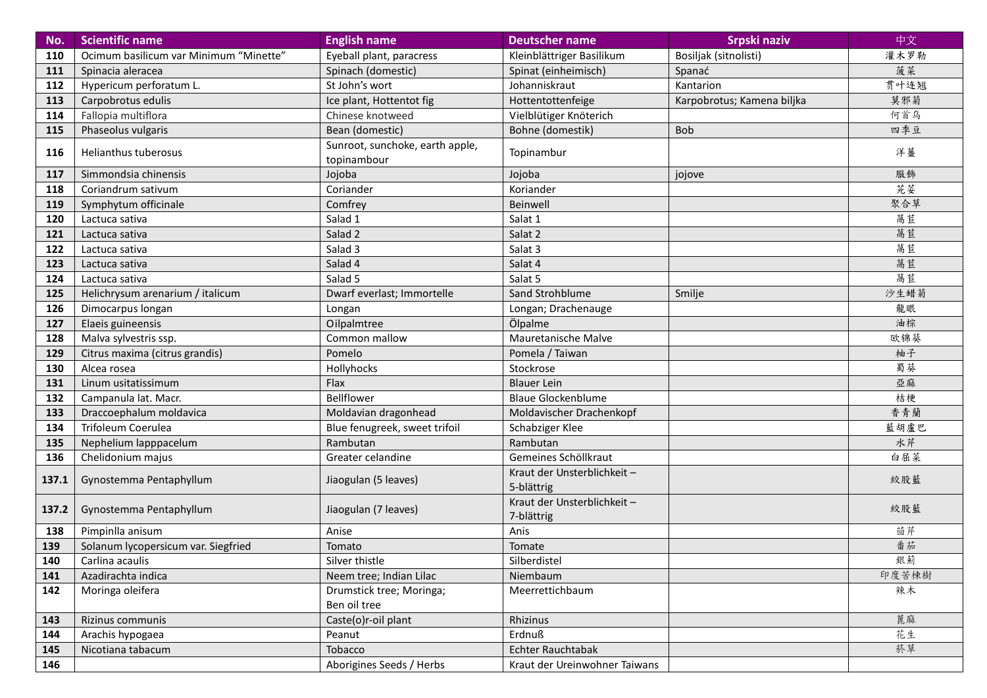| No.   | <b>Scientific name</b>                 | <b>English name</b>                            | <b>Deutscher name</b>                    | Srpski naziv               | 中文    |
|-------|----------------------------------------|------------------------------------------------|------------------------------------------|----------------------------|-------|
| 110   | Ocimum basilicum var Minimum "Minette" | Eyeball plant, paracress                       | Kleinblättriger Basilikum                | Bosiljak (sitnolisti)      | 灌木罗勒  |
| 111   | Spinacia aleracea                      | Spinach (domestic)                             | Spinat (einheimisch)                     | Spanać                     | 菠菜    |
| 112   | Hypericum perforatum L.                | St John's wort                                 | Johanniskraut                            | Kantarion                  | 贯叶连翘  |
| 113   | Carpobrotus edulis                     | Ice plant, Hottentot fig                       | Hottentottenfeige                        | Karpobrotus; Kamena biljka | 莫邪菊   |
| 114   | Fallopia multiflora                    | Chinese knotweed                               | Vielblütiger Knöterich                   |                            | 何首乌   |
| 115   | Phaseolus vulgaris                     | Bean (domestic)                                | Bohne (domestik)                         | <b>Bob</b>                 | 四季豆   |
| 116   | Helianthus tuberosus                   | Sunroot, sunchoke, earth apple,<br>topinambour | Topinambur                               |                            | 洋薑    |
| 117   | Simmondsia chinensis                   | Jojoba                                         | Jojoba                                   | jojove                     | 服飾    |
| 118   | Coriandrum sativum                     | Coriander                                      | Koriander                                |                            | 芫荽    |
| 119   | Symphytum officinale                   | Comfrey                                        | Beinwell                                 |                            | 聚合草   |
| 120   | Lactuca sativa                         | Salad 1                                        | Salat 1                                  |                            | 萵苣    |
| 121   | Lactuca sativa                         | Salad 2                                        | Salat 2                                  |                            | 萵苣    |
| 122   | Lactuca sativa                         | Salad 3                                        | Salat 3                                  |                            | 萵苣    |
| 123   | Lactuca sativa                         | Salad 4                                        | Salat 4                                  |                            | 萵苣    |
| 124   | Lactuca sativa                         | Salad 5                                        | Salat 5                                  |                            | 萵苣    |
| 125   | Helichrysum arenarium / italicum       | Dwarf everlast; Immortelle                     | Sand Strohblume                          | Smilje                     | 沙生蜡菊  |
| 126   | Dimocarpus longan                      | Longan                                         | Longan; Drachenauge                      |                            | 龍眼    |
| 127   | Elaeis guineensis                      | Oilpalmtree                                    | Ölpalme                                  |                            | 油棕    |
| 128   | Malva sylvestris ssp.                  | Common mallow                                  | Mauretanische Malve                      |                            | 欧锦葵   |
| 129   | Citrus maxima (citrus grandis)         | Pomelo                                         | Pomela / Taiwan                          |                            | 柚子    |
| 130   | Alcea rosea                            | Hollyhocks                                     | Stockrose                                |                            | 蜀葵    |
| 131   | Linum usitatissimum                    | Flax                                           | <b>Blauer Lein</b>                       |                            | 亞麻    |
| 132   | Campanula lat. Macr.                   | Bellflower                                     | <b>Blaue Glockenblume</b>                |                            | 桔梗    |
| 133   | Draccoephalum moldavica                | Moldavian dragonhead                           | Moldavischer Drachenkopf                 |                            | 香青蘭   |
| 134   | Trifoleum Coerulea                     | Blue fenugreek, sweet trifoil                  | Schabziger Klee                          |                            | 藍胡盧巴  |
| 135   | Nephelium lapppacelum                  | Rambutan                                       | Rambutan                                 |                            | 水芹    |
| 136   | Chelidonium majus                      | Greater celandine                              | Gemeines Schöllkraut                     |                            | 白屈菜   |
| 137.1 | Gynostemma Pentaphyllum                | Jiaogulan (5 leaves)                           | Kraut der Unsterblichkeit-<br>5-blättrig |                            | 絞股藍   |
| 137.2 | Gynostemma Pentaphyllum                | Jiaogulan (7 leaves)                           | Kraut der Unsterblichkeit-<br>7-blättrig |                            | 絞股藍   |
| 138   | Pimpinlla anisum                       | Anise                                          | Anis                                     |                            | 茴芹    |
| 139   | Solanum lycopersicum var. Siegfried    | Tomato                                         | Tomate                                   |                            | 番茄    |
| 140   | Carlina acaulis                        | Silver thistle                                 | Silberdistel                             |                            | 銀薊    |
| 141   | Azadirachta indica                     | Neem tree; Indian Lilac                        | Niembaum                                 |                            | 印度苦楝樹 |
| 142   | Moringa oleifera                       | Drumstick tree; Moringa;                       | Meerrettichbaum                          |                            | 辣木    |
|       |                                        | Ben oil tree                                   |                                          |                            |       |
| 143   | Rizinus communis                       | Caste(o)r-oil plant                            | Rhizinus                                 |                            | 蓖麻    |
| 144   | Arachis hypogaea                       | Peanut                                         | Erdnuß                                   |                            | 花生    |
| 145   | Nicotiana tabacum                      | Tobacco                                        | Echter Rauchtabak                        |                            | 菸草    |
| 146   |                                        | Aborigines Seeds / Herbs                       | Kraut der Ureinwohner Taiwans            |                            |       |